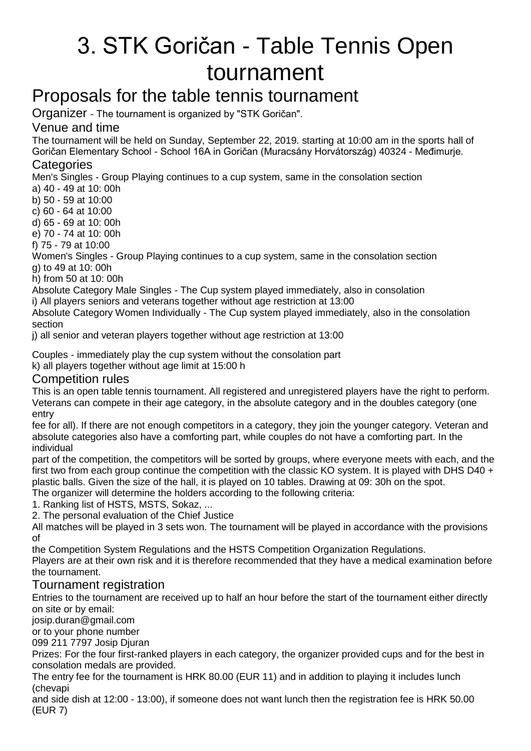# 3. STK Goričan - Table Tennis Open tournament

## Proposals for the table tennis tournament

Organizer - The tournament is organized by "STK Goričan".

### Venue and time

The tournament will be held on Sunday, September 22, 2019. starting at 10:00 am in the sports hall of Goričan Elementary School - School 16A in Goričan (Muracsány Horvátország) 40324 - Međimurje.

#### **Categories**

Men's Singles - Group Playing continues to a cup system, same in the consolation section

a) 40 - 49 at 10: 00h

b) 50 - 59 at 10:00

c) 60 - 64 at 10:00

d) 65 - 69 at 10: 00h

e) 70 - 74 at 10: 00h

f) 75 - 79 at 10:00

Women's Singles - Group Playing continues to a cup system, same in the consolation section g) to 49 at 10: 00h

h) from 50 at 10: 00h

Absolute Category Male Singles - The Cup system played immediately, also in consolation

i) All players seniors and veterans together without age restriction at 13:00

Absolute Category Women Individually - The Cup system played immediately, also in the consolation section

j) all senior and veteran players together without age restriction at 13:00

Couples - immediately play the cup system without the consolation part k) all players together without age limit at 15:00 h

#### Competition rules

This is an open table tennis tournament. All registered and unregistered players have the right to perform. Veterans can compete in their age category, in the absolute category and in the doubles category (one entry

fee for all). If there are not enough competitors in a category, they join the younger category. Veteran and absolute categories also have a comforting part, while couples do not have a comforting part. In the individual

part of the competition, the competitors will be sorted by groups, where everyone meets with each, and the first two from each group continue the competition with the classic KO system. It is played with DHS D40  $+$ plastic balls. Given the size of the hall, it is played on 10 tables. Drawing at 09: 30h on the spot. The organizer will determine the holders according to the following criteria:

1. Ranking list of HSTS, MSTS, Sokaz, ...

2. The personal evaluation of the Chief Justice

All matches will be played in 3 sets won. The tournament will be played in accordance with the provisions of

the Competition System Regulations and the HSTS Competition Organization Regulations.

Players are at their own risk and it is therefore recommended that they have a medical examination before the tournament.

### Tournament registration

Entries to the tournament are received up to half an hour before the start of the tournament either directly on site or by email:

josip.duran@gmail.com

or to your phone number

099 211 7797 Josip Djuran

Prizes: For the four first-ranked players in each category, the organizer provided cups and for the best in consolation medals are provided.

The entry fee for the tournament is HRK 80.00 (EUR 11) and in addition to playing it includes lunch (chevapi

and side dish at 12:00 - 13:00), if someone does not want lunch then the registration fee is HRK 50.00 (EUR 7)